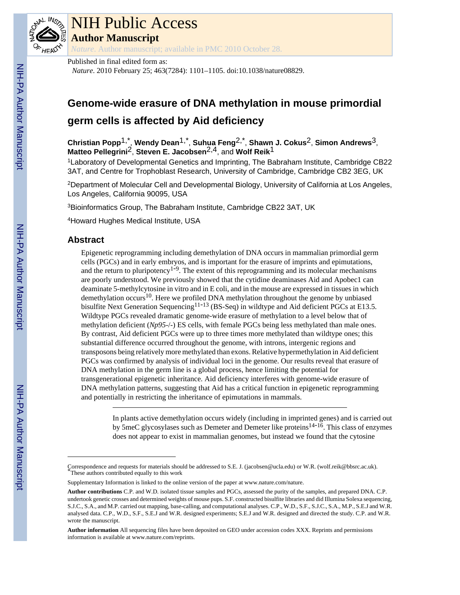

# NIH Public Access

**Author Manuscript**

*Nature*. Author manuscript; available in PMC 2010 October 28.

Published in final edited form as:

*Nature*. 2010 February 25; 463(7284): 1101–1105. doi:10.1038/nature08829.

## **Genome-wide erasure of DNA methylation in mouse primordial germ cells is affected by Aid deficiency**

**Christian Popp**1,\* , **Wendy Dean**1,\* , **Suhua Feng**2,\* , **Shawn J. Cokus**2, **Simon Andrews**3, **Matteo Pellegrini**2, **Steven E. Jacobsen**2,4, and **Wolf Reik**1

<sup>1</sup>Laboratory of Developmental Genetics and Imprinting, The Babraham Institute, Cambridge CB22 3AT, and Centre for Trophoblast Research, University of Cambridge, Cambridge CB2 3EG, UK

<sup>2</sup>Department of Molecular Cell and Developmental Biology, University of California at Los Angeles, Los Angeles, California 90095, USA

<sup>3</sup>Bioinformatics Group, The Babraham Institute, Cambridge CB22 3AT, UK

<sup>4</sup>Howard Hughes Medical Institute, USA

### **Abstract**

Epigenetic reprogramming including demethylation of DNA occurs in mammalian primordial germ cells (PGCs) and in early embryos, and is important for the erasure of imprints and epimutations, and the return to pluripotency<sup>1-9</sup>. The extent of this reprogramming and its molecular mechanisms are poorly understood. We previously showed that the cytidine deaminases Aid and Apobec1 can deaminate 5-methylcytosine in vitro and in E coli, and in the mouse are expressed in tissues in which demethylation occurs<sup>10</sup>. Here we profiled DNA methylation throughout the genome by unbiased bisulfite Next Generation Sequencing<sup>11-13</sup> (BS-Seq) in wildtype and Aid deficient PGCs at E13.5. Wildtype PGCs revealed dramatic genome-wide erasure of methylation to a level below that of methylation deficient (*Np95<sup>-/-</sup>*) ES cells, with female PGCs being less methylated than male ones. By contrast, Aid deficient PGCs were up to three times more methylated than wildtype ones; this substantial difference occurred throughout the genome, with introns, intergenic regions and transposons being relatively more methylated than exons. Relative hypermethylation in Aid deficient PGCs was confirmed by analysis of individual loci in the genome. Our results reveal that erasure of DNA methylation in the germ line is a global process, hence limiting the potential for transgenerational epigenetic inheritance. Aid deficiency interferes with genome-wide erasure of DNA methylation patterns, suggesting that Aid has a critical function in epigenetic reprogramming and potentially in restricting the inheritance of epimutations in mammals.

> In plants active demethylation occurs widely (including in imprinted genes) and is carried out by 5meC glycosylases such as Demeter and Demeter like proteins<sup>14-16</sup>. This class of enzymes does not appear to exist in mammalian genomes, but instead we found that the cytosine

Correspondence and requests for materials should be addressed to S.E. J. (jacobsen@ucla.edu) or W.R. (wolf.reik@bbsrc.ac.uk). \*These authors contributed equally to this work

Supplementary Information is linked to the online version of the paper at [www.nature.com/nature.](http://www.nature.com/nature)

**Author contributions** C.P. and W.D. isolated tissue samples and PGCs, assessed the purity of the samples, and prepared DNA. C.P. undertook genetic crosses and determined weights of mouse pups. S.F. constructed bisulfite libraries and did Illumina Solexa sequencing, S.J.C., S.A., and M.P. carried out mapping, base-calling, and computational analyses. C.P., W.D., S.F., S.J.C., S.A., M.P., S.E.J and W.R. analysed data. C.P., W.D., S.F., S.E.J and W.R. designed experiments; S.E.J and W.R. designed and directed the study. C.P. and W.R. wrote the manuscript.

**Author information** All sequencing files have been deposited on GEO under accession codes XXX. Reprints and permissions information is available at [www.nature.com/reprints.](http://www.nature.com/reprints)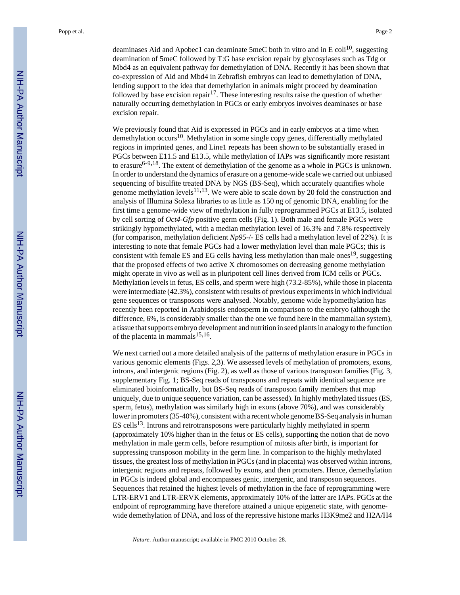deaminases Aid and Apobec1 can deaminate 5meC both in vitro and in E coli<sup>10</sup>, suggesting deamination of 5meC followed by T:G base excision repair by glycosylases such as Tdg or Mbd4 as an equivalent pathway for demethylation of DNA. Recently it has been shown that co-expression of Aid and Mbd4 in Zebrafish embryos can lead to demethylation of DNA, lending support to the idea that demethylation in animals might proceed by deamination followed by base excision repair<sup>17</sup>. These interesting results raise the question of whether naturally occurring demethylation in PGCs or early embryos involves deaminases or base excision repair.

We previously found that Aid is expressed in PGCs and in early embryos at a time when demethylation  $occurs<sup>10</sup>$ . Methylation in some single copy genes, differentially methylated regions in imprinted genes, and Line1 repeats has been shown to be substantially erased in PGCs between E11.5 and E13.5, while methylation of IAPs was significantly more resistant to erasure<sup>6-9,18</sup>. The extent of demethylation of the genome as a whole in PGCs is unknown. In order to understand the dynamics of erasure on a genome-wide scale we carried out unbiased sequencing of bisulfite treated DNA by NGS (BS-Seq), which accurately quantifies whole genome methylation levels<sup>11,13</sup>. We were able to scale down by 20 fold the construction and analysis of Illumina Solexa libraries to as little as 150 ng of genomic DNA, enabling for the first time a genome-wide view of methylation in fully reprogrammed PGCs at E13.5, isolated by cell sorting of *Oct4-Gfp* positive germ cells (Fig. 1). Both male and female PGCs were strikingly hypomethylated, with a median methylation level of 16.3% and 7.8% respectively (for comparison, methylation deficient *Np95*-/- ES cells had a methylation level of 22%). It is interesting to note that female PGCs had a lower methylation level than male PGCs; this is consistent with female ES and EG cells having less methylation than male ones<sup>19</sup>, suggesting that the proposed effects of two active X chromosomes on decreasing genome methylation might operate in vivo as well as in pluripotent cell lines derived from ICM cells or PGCs. Methylation levels in fetus, ES cells, and sperm were high (73.2-85%), while those in placenta were intermediate (42.3%), consistent with results of previous experiments in which individual gene sequences or transposons were analysed. Notably, genome wide hypomethylation has recently been reported in Arabidopsis endosperm in comparison to the embryo (although the difference, 6%, is considerably smaller than the one we found here in the mammalian system), a tissue that supports embryo development and nutrition in seed plants in analogy to the function of the placenta in mammals<sup>15,16</sup>.

We next carried out a more detailed analysis of the patterns of methylation erasure in PGCs in various genomic elements (Figs. 2,3). We assessed levels of methylation of promoters, exons, introns, and intergenic regions (Fig. 2), as well as those of various transposon families (Fig. 3, supplementary Fig. 1; BS-Seq reads of transposons and repeats with identical sequence are eliminated bioinformatically, but BS-Seq reads of transposon family members that map uniquely, due to unique sequence variation, can be assessed). In highly methylated tissues (ES, sperm, fetus), methylation was similarly high in exons (above 70%), and was considerably lower in promoters (35-40%), consistent with a recent whole genome BS-Seq analysis in human  $ES$  cells<sup>13</sup>. Introns and retrotransposons were particularly highly methylated in sperm (approximately 10% higher than in the fetus or ES cells), supporting the notion that de novo methylation in male germ cells, before resumption of mitosis after birth, is important for suppressing transposon mobility in the germ line. In comparison to the highly methylated tissues, the greatest loss of methylation in PGCs (and in placenta) was observed within introns, intergenic regions and repeats, followed by exons, and then promoters. Hence, demethylation in PGCs is indeed global and encompasses genic, intergenic, and transposon sequences. Sequences that retained the highest levels of methylation in the face of reprogramming were LTR-ERV1 and LTR-ERVK elements, approximately 10% of the latter are IAPs. PGCs at the endpoint of reprogramming have therefore attained a unique epigenetic state, with genomewide demethylation of DNA, and loss of the repressive histone marks H3K9me2 and H2A/H4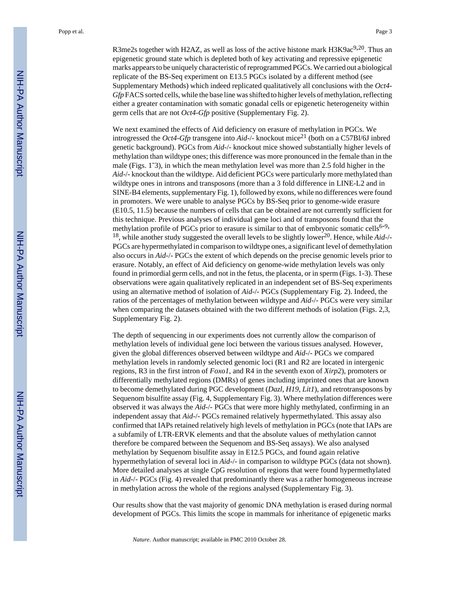R3me2s together with H2AZ, as well as loss of the active histone mark H3K9ac<sup>9,20</sup>. Thus an epigenetic ground state which is depleted both of key activating and repressive epigenetic marks appears to be uniquely characteristic of reprogrammed PGCs. We carried out a biological replicate of the BS-Seq experiment on E13.5 PGCs isolated by a different method (see Supplementary Methods) which indeed replicated qualitatively all conclusions with the *Oct4- Gfp* FACS sorted cells, while the base line was shifted to higher levels of methylation, reflecting either a greater contamination with somatic gonadal cells or epigenetic heterogeneity within germ cells that are not *Oct4-Gfp* positive (Supplementary Fig. 2).

We next examined the effects of Aid deficiency on erasure of methylation in PGCs. We introgressed the *Oct4-Gfp* transgene into *Aid-/-* knockout mice<sup>21</sup> (both on a C57Bl/6J inbred genetic background). PGCs from *Aid*-/- knockout mice showed substantially higher levels of methylation than wildtype ones; this difference was more pronounced in the female than in the male (Figs. 1<sup>-3</sup>), in which the mean methylation level was more than 2.5 fold higher in the *Aid*-/- knockout than the wildtype. Aid deficient PGCs were particularly more methylated than wildtype ones in introns and transposons (more than a 3 fold difference in LINE-L2 and in SINE-B4 elements, supplementary Fig. 1), followed by exons, while no differences were found in promoters. We were unable to analyse PGCs by BS-Seq prior to genome-wide erasure (E10.5, 11.5) because the numbers of cells that can be obtained are not currently sufficient for this technique. Previous analyses of individual gene loci and of transposons found that the methylation profile of PGCs prior to erasure is similar to that of embryonic somatic cells<sup>6-9,</sup> <sup>18</sup>, while another study suggested the overall levels to be slightly lower<sup>20</sup>. Hence, while  $Aid$ -/-PGCs are hypermethylated in comparison to wildtype ones, a significant level of demethylation also occurs in *Aid*-/- PGCs the extent of which depends on the precise genomic levels prior to erasure. Notably, an effect of Aid deficiency on genome-wide methylation levels was only found in primordial germ cells, and not in the fetus, the placenta, or in sperm (Figs. 1-3). These observations were again qualitatively replicated in an independent set of BS-Seq experiments using an alternative method of isolation of *Aid*-/- PGCs (Supplementary Fig. 2). Indeed, the ratios of the percentages of methylation between wildtype and *Aid*-/- PGCs were very similar when comparing the datasets obtained with the two different methods of isolation (Figs. 2,3, Supplementary Fig. 2).

The depth of sequencing in our experiments does not currently allow the comparison of methylation levels of individual gene loci between the various tissues analysed. However, given the global differences observed between wildtype and *Aid*-/- PGCs we compared methylation levels in randomly selected genomic loci (R1 and R2 are located in intergenic regions, R3 in the first intron of *Foxo1*, and R4 in the seventh exon of *Xirp2*), promoters or differentially methylated regions (DMRs) of genes including imprinted ones that are known to become demethylated during PGC development (*Dazl*, *H19*, *Lit1*), and retrotransposons by Sequenom bisulfite assay (Fig. 4, Supplementary Fig. 3). Where methylation differences were observed it was always the *Aid*-/- PGCs that were more highly methylated, confirming in an independent assay that *Aid*-/- PGCs remained relatively hypermethylated. This assay also confirmed that IAPs retained relatively high levels of methylation in PGCs (note that IAPs are a subfamily of LTR-ERVK elements and that the absolute values of methylation cannot therefore be compared between the Sequenom and BS-Seq assays). We also analysed methylation by Sequenom bisulfite assay in E12.5 PGCs, and found again relative hypermethylation of several loci in *Aid-/-* in comparison to wildtype PGCs (data not shown). More detailed analyses at single CpG resolution of regions that were found hypermethylated in *Aid*-/- PGCs (Fig. 4) revealed that predominantly there was a rather homogeneous increase in methylation across the whole of the regions analysed (Supplementary Fig. 3).

Our results show that the vast majority of genomic DNA methylation is erased during normal development of PGCs. This limits the scope in mammals for inheritance of epigenetic marks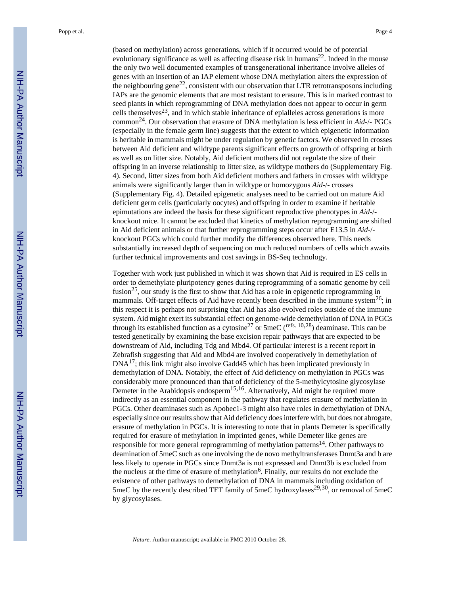(based on methylation) across generations, which if it occurred would be of potential evolutionary significance as well as affecting disease risk in humans<sup>22</sup>. Indeed in the mouse the only two well documented examples of transgenerational inheritance involve alleles of genes with an insertion of an IAP element whose DNA methylation alters the expression of the neighbouring gene<sup>22</sup>, consistent with our observation that LTR retrotransposons including IAPs are the genomic elements that are most resistant to erasure. This is in marked contrast to seed plants in which reprogramming of DNA methylation does not appear to occur in germ cells themselves<sup>23</sup>, and in which stable inheritance of epialleles across generations is more common24. Our observation that erasure of DNA methylation is less efficient in *Aid*-/- PGCs (especially in the female germ line) suggests that the extent to which epigenetic information is heritable in mammals might be under regulation by genetic factors. We observed in crosses between Aid deficient and wildtype parents significant effects on growth of offspring at birth as well as on litter size. Notably, Aid deficient mothers did not regulate the size of their offspring in an inverse relationship to litter size, as wildtype mothers do (Supplementary Fig. 4). Second, litter sizes from both Aid deficient mothers and fathers in crosses with wildtype animals were significantly larger than in wildtype or homozygous *Aid*-/- crosses (Supplementary Fig. 4). Detailed epigenetic analyses need to be carried out on mature Aid deficient germ cells (particularly oocytes) and offspring in order to examine if heritable epimutations are indeed the basis for these significant reproductive phenotypes in *Aid*-/ knockout mice. It cannot be excluded that kinetics of methylation reprogramming are shifted in Aid deficient animals or that further reprogramming steps occur after E13.5 in *Aid*-/ knockout PGCs which could further modify the differences observed here. This needs substantially increased depth of sequencing on much reduced numbers of cells which awaits further technical improvements and cost savings in BS-Seq technology.

Together with work just published in which it was shown that Aid is required in ES cells in order to demethylate pluripotency genes during reprogramming of a somatic genome by cell fusion<sup>25</sup>, our study is the first to show that Aid has a role in epigenetic reprogramming in mammals. Off-target effects of Aid have recently been described in the immune system<sup>26</sup>; in this respect it is perhaps not surprising that Aid has also evolved roles outside of the immune system. Aid might exert its substantial effect on genome-wide demethylation of DNA in PGCs through its established function as a cytosine<sup>27</sup> or 5meC (<sup>refs. 10,28</sup>) deaminase. This can be tested genetically by examining the base excision repair pathways that are expected to be downstream of Aid, including Tdg and Mbd4. Of particular interest is a recent report in Zebrafish suggesting that Aid and Mbd4 are involved cooperatively in demethylation of DNA17; this link might also involve Gadd45 which has been implicated previously in demethylation of DNA. Notably, the effect of Aid deficiency on methylation in PGCs was considerably more pronounced than that of deficiency of the 5-methylcytosine glycosylase Demeter in the Arabidopsis endosperm<sup>15,16</sup>. Alternatively, Aid might be required more indirectly as an essential component in the pathway that regulates erasure of methylation in PGCs. Other deaminases such as Apobec1-3 might also have roles in demethylation of DNA, especially since our results show that Aid deficiency does interfere with, but does not abrogate, erasure of methylation in PGCs. It is interesting to note that in plants Demeter is specifically required for erasure of methylation in imprinted genes, while Demeter like genes are responsible for more general reprogramming of methylation patterns<sup>14</sup>. Other pathways to deamination of 5meC such as one involving the de novo methyltransferases Dnmt3a and b are less likely to operate in PGCs since Dnmt3a is not expressed and Dnmt3b is excluded from the nucleus at the time of erasure of methylation<sup>6</sup>. Finally, our results do not exclude the existence of other pathways to demethylation of DNA in mammals including oxidation of 5meC by the recently described TET family of 5meC hydroxylases<sup>29,30</sup>, or removal of 5meC by glycosylases.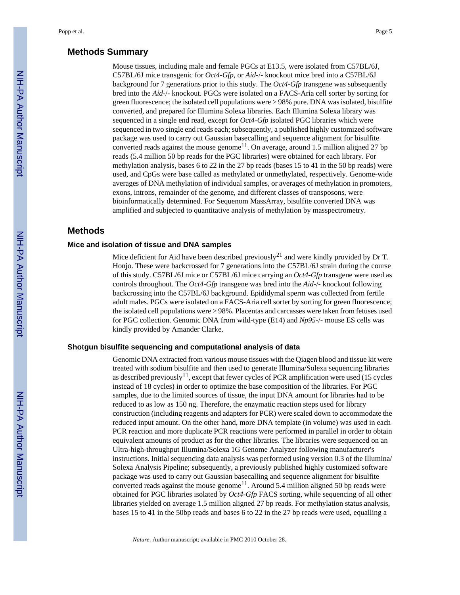#### **Methods Summary**

Mouse tissues, including male and female PGCs at E13.5, were isolated from C57BL/6J, C57BL/6J mice transgenic for *Oct4-Gfp*, or *Aid*-/- knockout mice bred into a C57BL/6J background for 7 generations prior to this study. The *Oct4-Gfp* transgene was subsequently bred into the *Aid*-/- knockout. PGCs were isolated on a FACS-Aria cell sorter by sorting for green fluorescence; the isolated cell populations were > 98% pure. DNA was isolated, bisulfite converted, and prepared for Illumina Solexa libraries. Each Illumina Solexa library was sequenced in a single end read, except for *Oct4-Gfp* isolated PGC libraries which were sequenced in two single end reads each; subsequently, a published highly customized software package was used to carry out Gaussian basecalling and sequence alignment for bisulfite converted reads against the mouse genome<sup>11</sup>. On average, around 1.5 million aligned 27 bp reads (5.4 million 50 bp reads for the PGC libraries) were obtained for each library. For methylation analysis, bases 6 to 22 in the 27 bp reads (bases 15 to 41 in the 50 bp reads) were used, and CpGs were base called as methylated or unmethylated, respectively. Genome-wide averages of DNA methylation of individual samples, or averages of methylation in promoters, exons, introns, remainder of the genome, and different classes of transposons, were bioinformatically determined. For Sequenom MassArray, bisulfite converted DNA was amplified and subjected to quantitative analysis of methylation by masspectrometry.

#### **Methods**

#### **Mice and isolation of tissue and DNA samples**

Mice deficient for Aid have been described previously<sup>21</sup> and were kindly provided by Dr T. Honjo. These were backcrossed for 7 generations into the C57BL/6J strain during the course of this study. C57BL/6J mice or C57BL/6J mice carrying an *Oct4-Gfp* transgene were used as controls throughout. The *Oct4-Gfp* transgene was bred into the *Aid*-/- knockout following backcrossing into the C57BL/6J background. Epididymal sperm was collected from fertile adult males. PGCs were isolated on a FACS-Aria cell sorter by sorting for green fluorescence; the isolated cell populations were > 98%. Placentas and carcasses were taken from fetuses used for PGC collection. Genomic DNA from wild-type (E14) and *Np95*-/- mouse ES cells was kindly provided by Amander Clarke.

#### **Shotgun bisulfite sequencing and computational analysis of data**

Genomic DNA extracted from various mouse tissues with the Qiagen blood and tissue kit were treated with sodium bisulfite and then used to generate Illumina/Solexa sequencing libraries as described previously<sup>11</sup>, except that fewer cycles of PCR amplification were used (15 cycles instead of 18 cycles) in order to optimize the base composition of the libraries. For PGC samples, due to the limited sources of tissue, the input DNA amount for libraries had to be reduced to as low as 150 ng. Therefore, the enzymatic reaction steps used for library construction (including reagents and adapters for PCR) were scaled down to accommodate the reduced input amount. On the other hand, more DNA template (in volume) was used in each PCR reaction and more duplicate PCR reactions were performed in parallel in order to obtain equivalent amounts of product as for the other libraries. The libraries were sequenced on an Ultra-high-throughput Illumina/Solexa 1G Genome Analyzer following manufacturer's instructions. Initial sequencing data analysis was performed using version 0.3 of the Illumina/ Solexa Analysis Pipeline; subsequently, a previously published highly customized software package was used to carry out Gaussian basecalling and sequence alignment for bisulfite converted reads against the mouse genome<sup>11</sup>. Around 5.4 million aligned 50 bp reads were obtained for PGC libraries isolated by *Oct4-Gfp* FACS sorting, while sequencing of all other libraries yielded on average 1.5 million aligned 27 bp reads. For methylation status analysis, bases 15 to 41 in the 50bp reads and bases 6 to 22 in the 27 bp reads were used, equalling a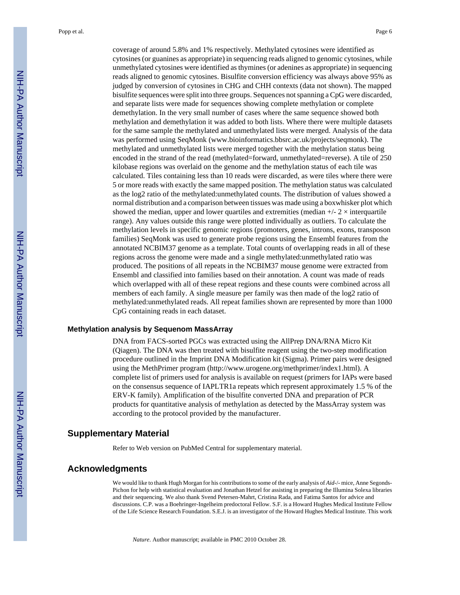coverage of around 5.8% and 1% respectively. Methylated cytosines were identified as cytosines (or guanines as appropriate) in sequencing reads aligned to genomic cytosines, while unmethylated cytosines were identified as thymines (or adenines as appropriate) in sequencing reads aligned to genomic cytosines. Bisulfite conversion efficiency was always above 95% as judged by conversion of cytosines in CHG and CHH contexts (data not shown). The mapped bisulfite sequences were split into three groups. Sequences not spanning a CpG were discarded, and separate lists were made for sequences showing complete methylation or complete demethylation. In the very small number of cases where the same sequence showed both methylation and demethylation it was added to both lists. Where there were multiple datasets for the same sample the methylated and unmethylated lists were merged. Analysis of the data was performed using SeqMonk [\(www.bioinformatics.bbsrc.ac.uk/projects/seqmonk\)](http://www.bioinformatics.bbsrc.ac.uk/projects/seqmonk). The methylated and unmethylated lists were merged together with the methylation status being encoded in the strand of the read (methylated=forward, unmethylated=reverse). A tile of 250 kilobase regions was overlaid on the genome and the methylation status of each tile was calculated. Tiles containing less than 10 reads were discarded, as were tiles where there were 5 or more reads with exactly the same mapped position. The methylation status was calculated as the log2 ratio of the methylated:unmethylated counts. The distribution of values showed a normal distribution and a comparison between tissues was made using a boxwhisker plot which showed the median, upper and lower quartiles and extremities (median  $+/- 2 \times$  interquartile range). Any values outside this range were plotted individually as outliers. To calculate the methylation levels in specific genomic regions (promoters, genes, introns, exons, transposon families) SeqMonk was used to generate probe regions using the Ensembl features from the annotated NCBIM37 genome as a template. Total counts of overlapping reads in all of these regions across the genome were made and a single methylated:unmethylated ratio was produced. The positions of all repeats in the NCBIM37 mouse genome were extracted from Ensembl and classified into families based on their annotation. A count was made of reads which overlapped with all of these repeat regions and these counts were combined across all members of each family. A single measure per family was then made of the log2 ratio of methylated:unmethylated reads. All repeat families shown are represented by more than 1000 CpG containing reads in each dataset.

#### **Methylation analysis by Sequenom MassArray**

DNA from FACS-sorted PGCs was extracted using the AllPrep DNA/RNA Micro Kit (Qiagen). The DNA was then treated with bisulfite reagent using the two-step modification procedure outlined in the Imprint DNA Modification kit (Sigma). Primer pairs were designed using the MethPrimer program [\(http://www.urogene.org/methprimer/index1.html\)](http://www.urogene.org/methprimer/index1.html). A complete list of primers used for analysis is available on request (primers for IAPs were based on the consensus sequence of IAPLTR1a repeats which represent approximately 1.5 % of the ERV-K family). Amplification of the bisulfite converted DNA and preparation of PCR products for quantitative analysis of methylation as detected by the MassArray system was according to the protocol provided by the manufacturer.

#### **Supplementary Material**

Refer to Web version on PubMed Central for supplementary material.

#### **Acknowledgments**

We would like to thank Hugh Morgan for his contributions to some of the early analysis of *Aid-/-* mice, Anne Segonds-Pichon for help with statistical evaluation and Jonathan Hetzel for assisting in preparing the Illumina Solexa libraries and their sequencing. We also thank Svend Petersen-Mahrt, Cristina Rada, and Fatima Santos for advice and discussions. C.P. was a Boehringer-Ingelheim predoctoral Fellow. S.F. is a Howard Hughes Medical Institute Fellow of the Life Science Research Foundation. S.E.J. is an investigator of the Howard Hughes Medical Institute. This work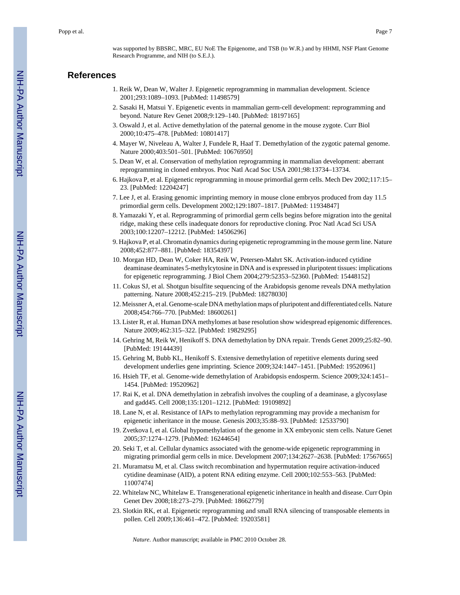was supported by BBSRC, MRC, EU NoE The Epigenome, and TSB (to W.R.) and by HHMI, NSF Plant Genome Research Programme, and NIH (to S.E.J.).

#### **References**

- 1. Reik W, Dean W, Walter J. Epigenetic reprogramming in mammalian development. Science 2001;293:1089–1093. [PubMed: 11498579]
- 2. Sasaki H, Matsui Y. Epigenetic events in mammalian germ-cell development: reprogramming and beyond. Nature Rev Genet 2008;9:129–140. [PubMed: 18197165]
- 3. Oswald J, et al. Active demethylation of the paternal genome in the mouse zygote. Curr Biol 2000;10:475–478. [PubMed: 10801417]
- 4. Mayer W, Niveleau A, Walter J, Fundele R, Haaf T. Demethylation of the zygotic paternal genome. Nature 2000;403:501–501. [PubMed: 10676950]
- 5. Dean W, et al. Conservation of methylation reprogramming in mammalian development: aberrant reprogramming in cloned embryos. Proc Natl Acad Soc USA 2001;98:13734–13734.
- 6. Hajkova P, et al. Epigenetic reprogramming in mouse primordial germ cells. Mech Dev 2002;117:15– 23. [PubMed: 12204247]
- 7. Lee J, et al. Erasing genomic imprinting memory in mouse clone embryos produced from day 11.5 primordial germ cells. Development 2002;129:1807–1817. [PubMed: 11934847]
- 8. Yamazaki Y, et al. Reprogramming of primordial germ cells begins before migration into the genital ridge, making these cells inadequate donors for reproductive cloning. Proc Natl Acad Sci USA 2003;100:12207–12212. [PubMed: 14506296]
- 9. Hajkova P, et al. Chromatin dynamics during epigenetic reprogramming in the mouse germ line. Nature 2008;452:877–881. [PubMed: 18354397]
- 10. Morgan HD, Dean W, Coker HA, Reik W, Petersen-Mahrt SK. Activation-induced cytidine deaminase deaminates 5-methylcytosine in DNA and is expressed in pluripotent tissues: implications for epigenetic reprogramming. J Biol Chem 2004;279:52353–52360. [PubMed: 15448152]
- 11. Cokus SJ, et al. Shotgun bisulfite sequencing of the Arabidopsis genome reveals DNA methylation patterning. Nature 2008;452:215–219. [PubMed: 18278030]
- 12. Meissner A, et al. Genome-scale DNA methylation maps of pluripotent and differentiated cells. Nature 2008;454:766–770. [PubMed: 18600261]
- 13. Lister R, et al. Human DNA methylomes at base resolution show widespread epigenomic differences. Nature 2009;462:315–322. [PubMed: 19829295]
- 14. Gehring M, Reik W, Henikoff S. DNA demethylation by DNA repair. Trends Genet 2009;25:82–90. [PubMed: 19144439]
- 15. Gehring M, Bubb KL, Henikoff S. Extensive demethylation of repetitive elements during seed development underlies gene imprinting. Science 2009;324:1447–1451. [PubMed: 19520961]
- 16. Hsieh TF, et al. Genome-wide demethylation of Arabidopsis endosperm. Science 2009;324:1451– 1454. [PubMed: 19520962]
- 17. Rai K, et al. DNA demethylation in zebrafish involves the coupling of a deaminase, a glycosylase and gadd45. Cell 2008;135:1201–1212. [PubMed: 19109892]
- 18. Lane N, et al. Resistance of IAPs to methylation reprogramming may provide a mechanism for epigenetic inheritance in the mouse. Genesis 2003;35:88–93. [PubMed: 12533790]
- 19. Zvetkova I, et al. Global hypomethylation of the genome in XX embryonic stem cells. Nature Genet 2005;37:1274–1279. [PubMed: 16244654]
- 20. Seki T, et al. Cellular dynamics associated with the genome-wide epigenetic reprogramming in migrating primordial germ cells in mice. Development 2007;134:2627–2638. [PubMed: 17567665]
- 21. Muramatsu M, et al. Class switch recombination and hypermutation require activation-induced cytidine deaminase (AID), a potent RNA editing enzyme. Cell 2000;102:553–563. [PubMed: 11007474]
- 22. Whitelaw NC, Whitelaw E. Transgenerational epigenetic inheritance in health and disease. Curr Opin Genet Dev 2008;18:273–279. [PubMed: 18662779]
- 23. Slotkin RK, et al. Epigenetic reprogramming and small RNA silencing of transposable elements in pollen. Cell 2009;136:461–472. [PubMed: 19203581]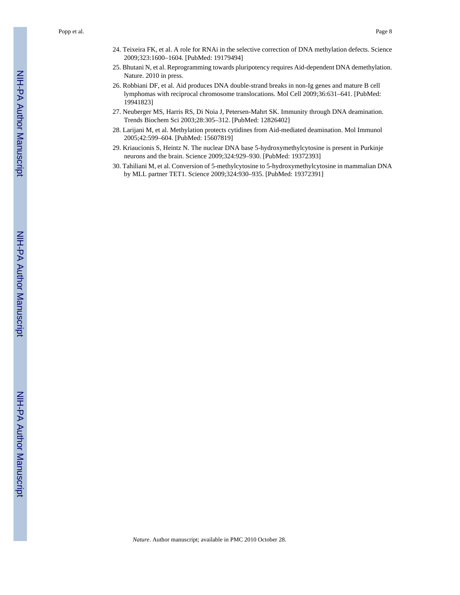- 24. Teixeira FK, et al. A role for RNAi in the selective correction of DNA methylation defects. Science 2009;323:1600–1604. [PubMed: 19179494]
- 25. Bhutani N, et al. Reprogramming towards pluripotency requires Aid-dependent DNA demethylation. Nature. 2010 in press.
- 26. Robbiani DF, et al. Aid produces DNA double-strand breaks in non-Ig genes and mature B cell lymphomas with reciprocal chromosome translocations. Mol Cell 2009;36:631–641. [PubMed: 19941823]
- 27. Neuberger MS, Harris RS, Di Noia J, Petersen-Mahrt SK. Immunity through DNA deamination. Trends Biochem Sci 2003;28:305–312. [PubMed: 12826402]
- 28. Larijani M, et al. Methylation protects cytidines from Aid-mediated deamination. Mol Immunol 2005;42:599–604. [PubMed: 15607819]
- 29. Kriaucionis S, Heintz N. The nuclear DNA base 5-hydroxymethylcytosine is present in Purkinje neurons and the brain. Science 2009;324:929–930. [PubMed: 19372393]
- 30. Tahiliani M, et al. Conversion of 5-methylcytosine to 5-hydroxymethylcytosine in mammalian DNA by MLL partner TET1. Science 2009;324:930–935. [PubMed: 19372391]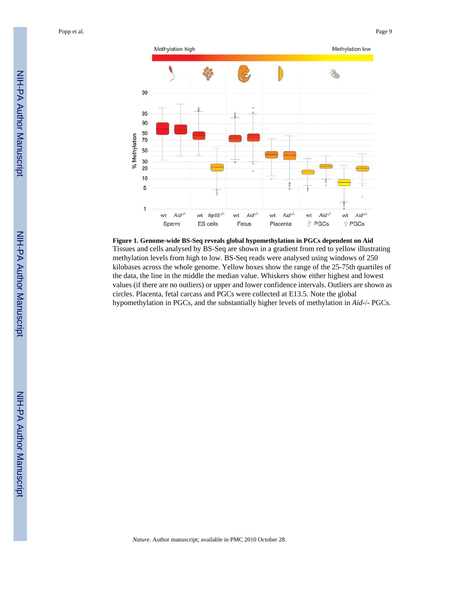

**Figure 1. Genome-wide BS-Seq reveals global hypomethylation in PGCs dependent on Aid** Tissues and cells analysed by BS-Seq are shown in a gradient from red to yellow illustrating methylation levels from high to low. BS-Seq reads were analysed using windows of 250 kilobases across the whole genome. Yellow boxes show the range of the 25-75th quartiles of the data, the line in the middle the median value. Whiskers show either highest and lowest values (if there are no outliers) or upper and lower confidence intervals. Outliers are shown as circles. Placenta, fetal carcass and PGCs were collected at E13.5. Note the global hypomethylation in PGCs, and the substantially higher levels of methylation in *Aid*-/- PGCs.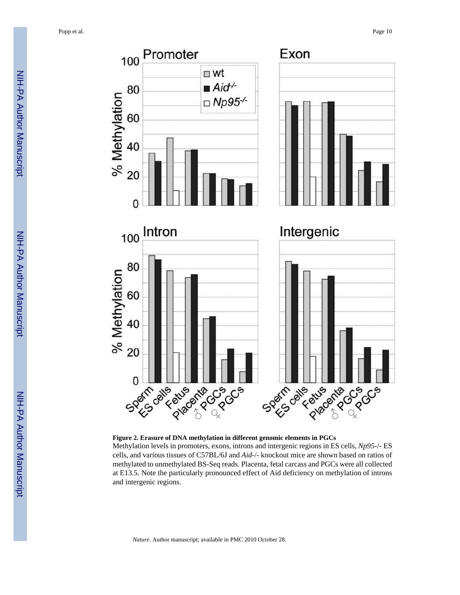

**Figure 2. Erasure of DNA methylation in different genomic elements in PGCs**

Methylation levels in promoters, exons, introns and intergenic regions in ES cells, *Np95*-/- ES cells, and various tissues of C57BL/6J and *Aid*-/- knockout mice are shown based on ratios of methylated to unmethylated BS-Seq reads. Placenta, fetal carcass and PGCs were all collected at E13.5. Note the particularly pronounced effect of Aid deficiency on methylation of introns and intergenic regions.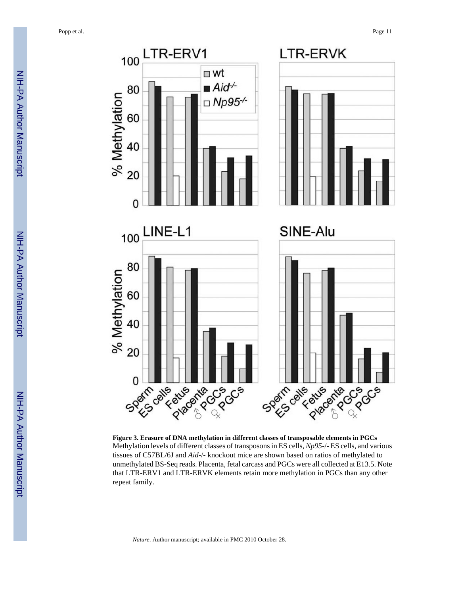

**Figure 3. Erasure of DNA methylation in different classes of transposable elements in PGCs** Methylation levels of different classes of transposons in ES cells, *Np95*-/- ES cells, and various tissues of C57BL/6J and *Aid*-/- knockout mice are shown based on ratios of methylated to unmethylated BS-Seq reads. Placenta, fetal carcass and PGCs were all collected at E13.5. Note that LTR-ERV1 and LTR-ERVK elements retain more methylation in PGCs than any other repeat family.